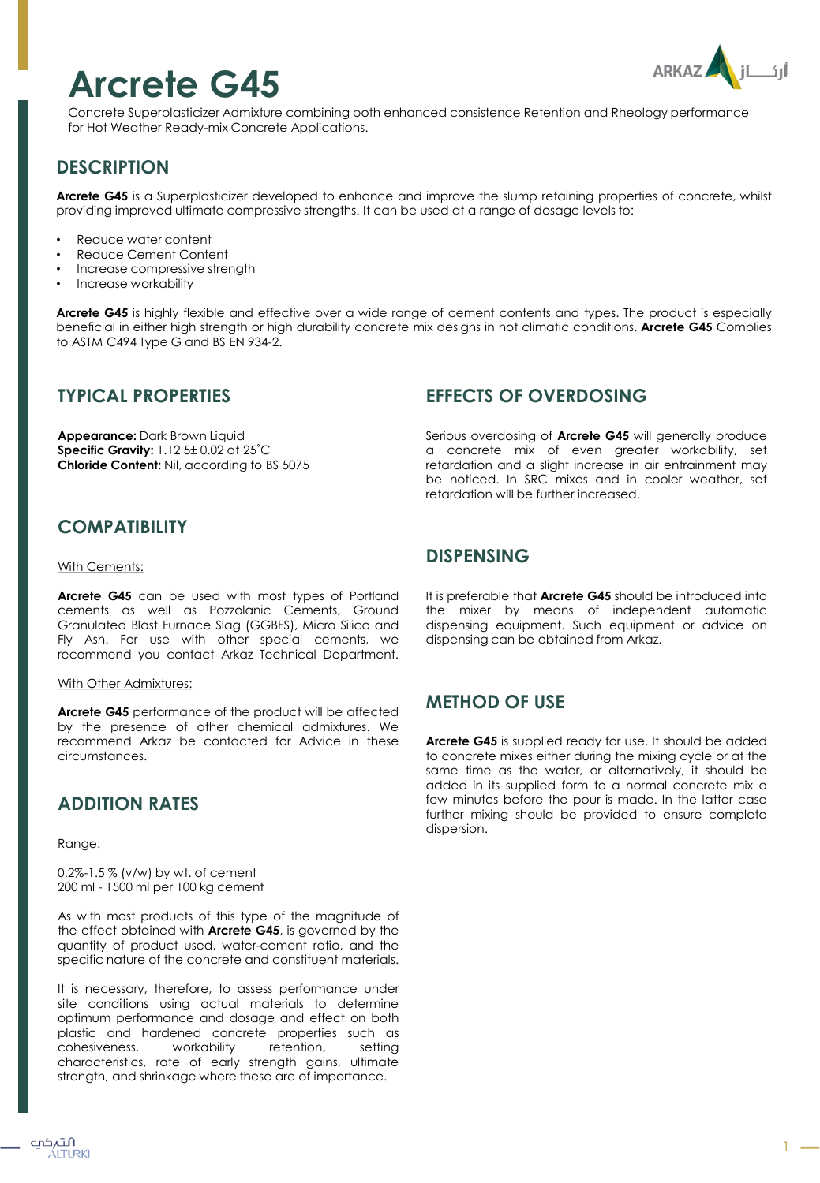# **Arcrete G45**

Concrete Superplasticizer Admixture combining both enhanced consistence Retention and Rheology performance for Hot Weather Ready-mix Concrete Applications.

## **DESCRIPTION**

**Arcrete G45** is a Superplasticizer developed to enhance and improve the slump retaining properties of concrete, whilst providing improved ultimate compressive strengths. It can be used at a range of dosage levels to:

- Reduce water content
- Reduce Cement Content
- Increase compressive strength
- Increase workability

**Arcrete G45** is highly flexible and effective over a wide range of cement contents and types. The product is especially beneficial in either high strength or high durability concrete mix designs in hot climatic conditions. **Arcrete G45** Complies to ASTM C494 Type G and BS EN 934-2.

### **TYPICAL PROPERTIES**

**Appearance:** Dark Brown Liquid **Specific Gravity:** 1.12 5± 0.02 at 25˚C **Chloride Content:** Nil, according to BS 5075

## **EFFECTS OF OVERDOSING**

Serious overdosing of **Arcrete G45** will generally produce a concrete mix of even greater workability, set retardation and a slight increase in air entrainment may be noticed. In SRC mixes and in cooler weather, set retardation will be further increased.

## **COMPATIBILITY**

#### With Cements:

**Arcrete G45** can be used with most types of Portland cements as well as Pozzolanic Cements, Ground Granulated Blast Furnace Slag (GGBFS), Micro Silica and Fly Ash. For use with other special cements, we recommend you contact Arkaz Technical Department.

### With Other Admixtures:

**Arcrete G45** performance of the product will be affected by the presence of other chemical admixtures. We recommend Arkaz be contacted for Advice in these circumstances.

### **ADDITION RATES**

#### Range:

0.2%-1.5 % (v/w) by wt. of cement 200 ml - 1500 ml per 100 kg cement

As with most products of this type of the magnitude of the effect obtained with **Arcrete G45**, is governed by the quantity of product used, water-cement ratio, and the specific nature of the concrete and constituent materials.

It is necessary, therefore, to assess performance under site conditions using actual materials to determine optimum performance and dosage and effect on both plastic and hardened concrete properties such as cohesiveness, workability retention, setting characteristics, rate of early strength gains, ultimate strength, and shrinkage where these are of importance.

### **DISPENSING**

It is preferable that **Arcrete G45** should be introduced into the mixer by means of independent automatic dispensing equipment. Such equipment or advice on dispensing can be obtained from Arkaz.

### **METHOD OF USE**

**Arcrete G45** is supplied ready for use. It should be added to concrete mixes either during the mixing cycle or at the same time as the water, or alternatively, it should be added in its supplied form to a normal concrete mix a few minutes before the pour is made. In the latter case further mixing should be provided to ensure complete dispersion.